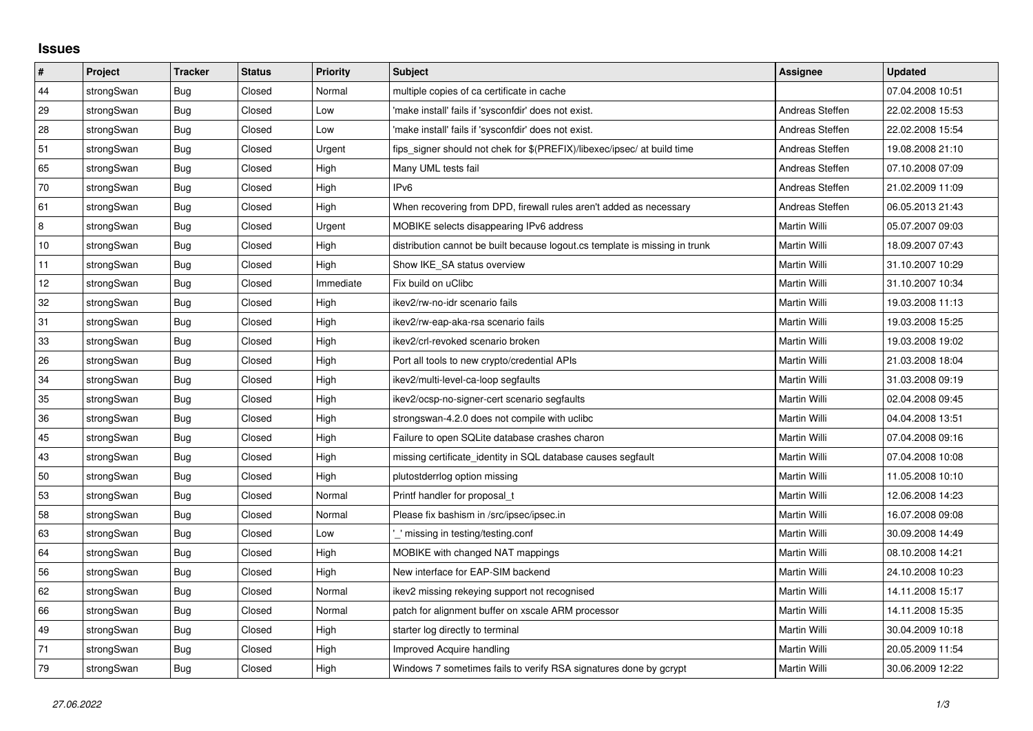## **Issues**

| $\sharp$ | <b>Project</b> | <b>Tracker</b> | <b>Status</b> | <b>Priority</b> | <b>Subject</b>                                                              | <b>Assignee</b>     | <b>Updated</b>   |
|----------|----------------|----------------|---------------|-----------------|-----------------------------------------------------------------------------|---------------------|------------------|
| 44       | strongSwan     | Bug            | Closed        | Normal          | multiple copies of ca certificate in cache                                  |                     | 07.04.2008 10:51 |
| 29       | strongSwan     | Bug            | Closed        | Low             | 'make install' fails if 'sysconfdir' does not exist.                        | Andreas Steffen     | 22.02.2008 15:53 |
| 28       | strongSwan     | <b>Bug</b>     | Closed        | Low             | 'make install' fails if 'sysconfdir' does not exist.                        | Andreas Steffen     | 22.02.2008 15:54 |
| 51       | strongSwan     | <b>Bug</b>     | Closed        | Urgent          | fips signer should not chek for \$(PREFIX)/libexec/ipsec/ at build time     | Andreas Steffen     | 19.08.2008 21:10 |
| 65       | strongSwan     | Bug            | Closed        | High            | Many UML tests fail                                                         | Andreas Steffen     | 07.10.2008 07:09 |
| 70       | strongSwan     | <b>Bug</b>     | Closed        | High            | IP <sub>v6</sub>                                                            | Andreas Steffen     | 21.02.2009 11:09 |
| 61       | strongSwan     | Bug            | Closed        | High            | When recovering from DPD, firewall rules aren't added as necessary          | Andreas Steffen     | 06.05.2013 21:43 |
| 8        | strongSwan     | Bug            | Closed        | Urgent          | MOBIKE selects disappearing IPv6 address                                    | Martin Willi        | 05.07.2007 09:03 |
| 10       | strongSwan     | <b>Bug</b>     | Closed        | High            | distribution cannot be built because logout.cs template is missing in trunk | Martin Willi        | 18.09.2007 07:43 |
| 11       | strongSwan     | Bug            | Closed        | High            | Show IKE SA status overview                                                 | Martin Willi        | 31.10.2007 10:29 |
| 12       | strongSwan     | Bug            | Closed        | Immediate       | Fix build on uClibc                                                         | Martin Willi        | 31.10.2007 10:34 |
| 32       | strongSwan     | <b>Bug</b>     | Closed        | High            | ikev2/rw-no-idr scenario fails                                              | Martin Willi        | 19.03.2008 11:13 |
| 31       | strongSwan     | Bug            | Closed        | High            | ikev2/rw-eap-aka-rsa scenario fails                                         | Martin Willi        | 19.03.2008 15:25 |
| 33       | strongSwan     | Bug            | Closed        | High            | ikev2/crl-revoked scenario broken                                           | Martin Willi        | 19.03.2008 19:02 |
| 26       | strongSwan     | Bug            | Closed        | High            | Port all tools to new crypto/credential APIs                                | Martin Willi        | 21.03.2008 18:04 |
| 34       | strongSwan     | <b>Bug</b>     | Closed        | High            | ikev2/multi-level-ca-loop segfaults                                         | Martin Willi        | 31.03.2008 09:19 |
| 35       | strongSwan     | Bug            | Closed        | High            | ikev2/ocsp-no-signer-cert scenario segfaults                                | Martin Willi        | 02.04.2008 09:45 |
| 36       | strongSwan     | Bug            | Closed        | High            | strongswan-4.2.0 does not compile with uclibe                               | Martin Willi        | 04.04.2008 13:51 |
| 45       | strongSwan     | Bug            | Closed        | High            | Failure to open SQLite database crashes charon                              | Martin Willi        | 07.04.2008 09:16 |
| 43       | strongSwan     | <b>Bug</b>     | Closed        | High            | missing certificate identity in SQL database causes segfault                | Martin Willi        | 07.04.2008 10:08 |
| 50       | strongSwan     | Bug            | Closed        | High            | plutostderrlog option missing                                               | Martin Willi        | 11.05.2008 10:10 |
| 53       | strongSwan     | <b>Bug</b>     | Closed        | Normal          | Printf handler for proposal t                                               | Martin Willi        | 12.06.2008 14:23 |
| 58       | strongSwan     | Bug            | Closed        | Normal          | Please fix bashism in /src/ipsec/ipsec.in                                   | Martin Willi        | 16.07.2008 09:08 |
| 63       | strongSwan     | <b>Bug</b>     | Closed        | Low             | missing in testing/testing.conf                                             | Martin Willi        | 30.09.2008 14:49 |
| 64       | strongSwan     | Bug            | Closed        | High            | MOBIKE with changed NAT mappings                                            | Martin Willi        | 08.10.2008 14:21 |
| 56       | strongSwan     | Bug            | Closed        | High            | New interface for EAP-SIM backend                                           | Martin Willi        | 24.10.2008 10:23 |
| 62       | strongSwan     | Bug            | Closed        | Normal          | ikev2 missing rekeying support not recognised                               | Martin Willi        | 14.11.2008 15:17 |
| 66       | strongSwan     | <b>Bug</b>     | Closed        | Normal          | patch for alignment buffer on xscale ARM processor                          | Martin Willi        | 14.11.2008 15:35 |
| 49       | strongSwan     | Bug            | Closed        | High            | starter log directly to terminal                                            | Martin Willi        | 30.04.2009 10:18 |
| 71       | strongSwan     | Bug            | Closed        | High            | Improved Acquire handling                                                   | <b>Martin Willi</b> | 20.05.2009 11:54 |
| 79       | strongSwan     | <b>Bug</b>     | Closed        | High            | Windows 7 sometimes fails to verify RSA signatures done by gcrypt           | Martin Willi        | 30.06.2009 12:22 |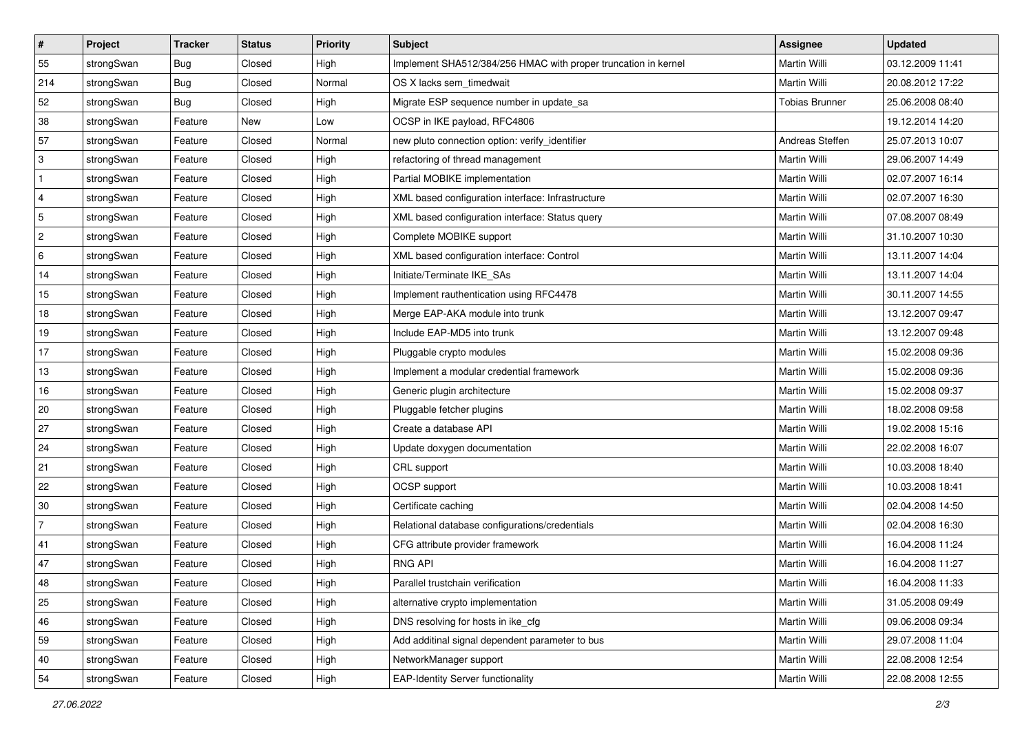| $\vert$ #                 | Project    | <b>Tracker</b> | <b>Status</b> | <b>Priority</b> | Subject                                                        | <b>Assignee</b>       | <b>Updated</b>   |
|---------------------------|------------|----------------|---------------|-----------------|----------------------------------------------------------------|-----------------------|------------------|
| 55                        | strongSwan | <b>Bug</b>     | Closed        | High            | Implement SHA512/384/256 HMAC with proper truncation in kernel | Martin Willi          | 03.12.2009 11:41 |
| 214                       | strongSwan | Bug            | Closed        | Normal          | OS X lacks sem timedwait                                       | Martin Willi          | 20.08.2012 17:22 |
| 52                        | strongSwan | Bug            | Closed        | High            | Migrate ESP sequence number in update_sa                       | <b>Tobias Brunner</b> | 25.06.2008 08:40 |
| 38                        | strongSwan | Feature        | New           | Low             | OCSP in IKE payload, RFC4806                                   |                       | 19.12.2014 14:20 |
| 57                        | strongSwan | Feature        | Closed        | Normal          | new pluto connection option: verify_identifier                 | Andreas Steffen       | 25.07.2013 10:07 |
| $\ensuremath{\mathsf{3}}$ | strongSwan | Feature        | Closed        | High            | refactoring of thread management                               | Martin Willi          | 29.06.2007 14:49 |
| $\mathbf{1}$              | strongSwan | Feature        | Closed        | High            | Partial MOBIKE implementation                                  | Martin Willi          | 02.07.2007 16:14 |
| $\overline{\mathbf{4}}$   | strongSwan | Feature        | Closed        | High            | XML based configuration interface: Infrastructure              | Martin Willi          | 02.07.2007 16:30 |
| $\sqrt{5}$                | strongSwan | Feature        | Closed        | High            | XML based configuration interface: Status query                | Martin Willi          | 07.08.2007 08:49 |
| $\sqrt{2}$                | strongSwan | Feature        | Closed        | High            | Complete MOBIKE support                                        | <b>Martin Willi</b>   | 31.10.2007 10:30 |
| 6                         | strongSwan | Feature        | Closed        | High            | XML based configuration interface: Control                     | Martin Willi          | 13.11.2007 14:04 |
| 14                        | strongSwan | Feature        | Closed        | High            | Initiate/Terminate IKE_SAs                                     | Martin Willi          | 13.11.2007 14:04 |
| 15                        | strongSwan | Feature        | Closed        | High            | Implement rauthentication using RFC4478                        | Martin Willi          | 30.11.2007 14:55 |
| 18                        | strongSwan | Feature        | Closed        | High            | Merge EAP-AKA module into trunk                                | <b>Martin Willi</b>   | 13.12.2007 09:47 |
| 19                        | strongSwan | Feature        | Closed        | High            | Include EAP-MD5 into trunk                                     | <b>Martin Willi</b>   | 13.12.2007 09:48 |
| 17                        | strongSwan | Feature        | Closed        | High            | Pluggable crypto modules                                       | Martin Willi          | 15.02.2008 09:36 |
| 13                        | strongSwan | Feature        | Closed        | High            | Implement a modular credential framework                       | Martin Willi          | 15.02.2008 09:36 |
| 16                        | strongSwan | Feature        | Closed        | High            | Generic plugin architecture                                    | Martin Willi          | 15.02.2008 09:37 |
| 20                        | strongSwan | Feature        | Closed        | High            | Pluggable fetcher plugins                                      | Martin Willi          | 18.02.2008 09:58 |
| 27                        | strongSwan | Feature        | Closed        | High            | Create a database API                                          | Martin Willi          | 19.02.2008 15:16 |
| 24                        | strongSwan | Feature        | Closed        | High            | Update doxygen documentation                                   | Martin Willi          | 22.02.2008 16:07 |
| 21                        | strongSwan | Feature        | Closed        | High            | CRL support                                                    | Martin Willi          | 10.03.2008 18:40 |
| 22                        | strongSwan | Feature        | Closed        | High            | OCSP support                                                   | <b>Martin Willi</b>   | 10.03.2008 18:41 |
| 30                        | strongSwan | Feature        | Closed        | High            | Certificate caching                                            | Martin Willi          | 02.04.2008 14:50 |
| $\overline{7}$            | strongSwan | Feature        | Closed        | High            | Relational database configurations/credentials                 | Martin Willi          | 02.04.2008 16:30 |
| 41                        | strongSwan | Feature        | Closed        | High            | CFG attribute provider framework                               | <b>Martin Willi</b>   | 16.04.2008 11:24 |
| 47                        | strongSwan | Feature        | Closed        | High            | <b>RNG API</b>                                                 | Martin Willi          | 16.04.2008 11:27 |
| 48                        | strongSwan | Feature        | Closed        | High            | Parallel trustchain verification                               | Martin Willi          | 16.04.2008 11:33 |
| 25                        | strongSwan | Feature        | Closed        | High            | alternative crypto implementation                              | Martin Willi          | 31.05.2008 09:49 |
| 46                        | strongSwan | Feature        | Closed        | High            | DNS resolving for hosts in ike_cfg                             | Martin Willi          | 09.06.2008 09:34 |
| 59                        | strongSwan | Feature        | Closed        | High            | Add additinal signal dependent parameter to bus                | Martin Willi          | 29.07.2008 11:04 |
| 40                        | strongSwan | Feature        | Closed        | High            | NetworkManager support                                         | Martin Willi          | 22.08.2008 12:54 |
| 54                        | strongSwan | Feature        | Closed        | High            | <b>EAP-Identity Server functionality</b>                       | Martin Willi          | 22.08.2008 12:55 |